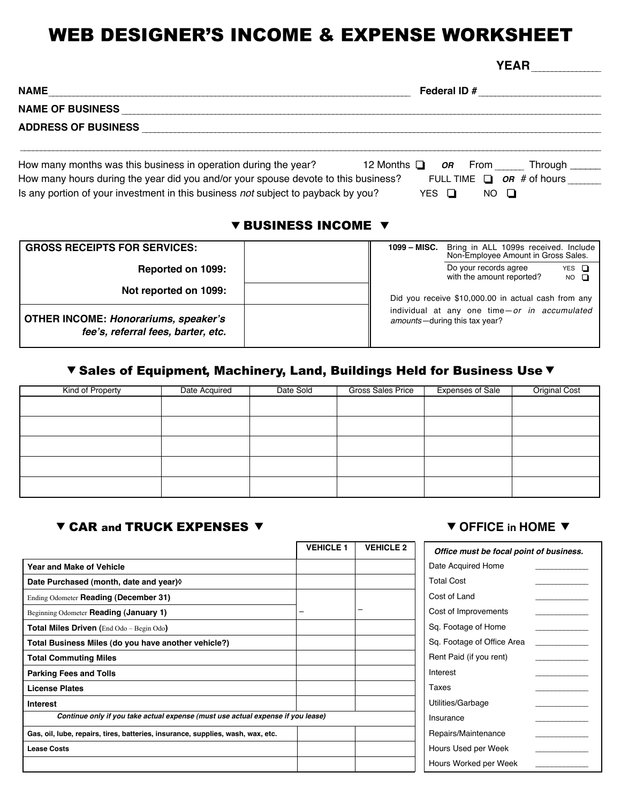# WEB DESIGNER'S INCOME & EXPENSE WORKSHEET

|                                                                                                                                                                         | <b>YEAR</b>                                                      |  |  |
|-------------------------------------------------------------------------------------------------------------------------------------------------------------------------|------------------------------------------------------------------|--|--|
| NAME                                                                                                                                                                    | Federal ID #                                                     |  |  |
| <b>NAME OF BUSINESS</b>                                                                                                                                                 |                                                                  |  |  |
| <b>ADDRESS OF BUSINESS</b>                                                                                                                                              |                                                                  |  |  |
| How many months was this business in operation during the year?                                                                                                         | 12 Months $\Box$<br>From<br>Through $\_\_$<br>OR                 |  |  |
| How many hours during the year did you and/or your spouse devote to this business?<br>Is any portion of your investment in this business not subject to payback by you? | FULL TIME $\Box$ OR # of hours<br>YES O<br>NO.<br>$\blacksquare$ |  |  |

#### **V BUSINESS INCOME V**

| <b>GROSS RECEIPTS FOR SERVICES:</b>                                        | 1099 - MISC.                                                                  | Bring in ALL 1099s received. Include<br>Non-Employee Amount in Gross Sales. |                                |  |
|----------------------------------------------------------------------------|-------------------------------------------------------------------------------|-----------------------------------------------------------------------------|--------------------------------|--|
| <b>Reported on 1099:</b>                                                   |                                                                               | Do your records agree<br>with the amount reported?                          | $YES$ $\Box$<br>$NO$ $\square$ |  |
| Not reported on 1099:                                                      |                                                                               | Did you receive \$10,000.00 in actual cash from any                         |                                |  |
| OTHER INCOME: Honorariums, speaker's<br>fee's, referral fees, barter, etc. | individual at any one time-or in accumulated<br>amounts-during this tax year? |                                                                             |                                |  |

## ▼ Sales of Equipment, Machinery, Land, Buildings Held for Business Use ▼

| Kind of Property | Date Acquired | Date Sold | Gross Sales Price | <b>Expenses of Sale</b> | <b>Original Cost</b> |
|------------------|---------------|-----------|-------------------|-------------------------|----------------------|
|                  |               |           |                   |                         |                      |
|                  |               |           |                   |                         |                      |
|                  |               |           |                   |                         |                      |
|                  |               |           |                   |                         |                      |
|                  |               |           |                   |                         |                      |
|                  |               |           |                   |                         |                      |
|                  |               |           |                   |                         |                      |
|                  |               |           |                   |                         |                      |
|                  |               |           |                   |                         |                      |
|                  |               |           |                   |                         |                      |

### $\triangledown$  **CAR and TRUCK EXPENSES**  $\triangledown$

| $\blacktriangledown$ OFFICE in HOME $\blacktriangledown$ |
|----------------------------------------------------------|
|----------------------------------------------------------|

|                                                                                 | <b>VEHICLE 1</b> | <b>VEHICLE 2</b>    | Office must be focal point of business. |  |
|---------------------------------------------------------------------------------|------------------|---------------------|-----------------------------------------|--|
| <b>Year and Make of Vehicle</b>                                                 |                  |                     | Date Acquired Home                      |  |
| Date Purchased (month, date and year)                                           |                  |                     | <b>Total Cost</b>                       |  |
| Ending Odometer Reading (December 31)                                           |                  |                     | Cost of Land                            |  |
| Beginning Odometer Reading (January 1)                                          |                  |                     | Cost of Improvements                    |  |
| <b>Total Miles Driven</b> (End Odo – Begin Odo)                                 |                  |                     | Sq. Footage of Home                     |  |
| Total Business Miles (do you have another vehicle?)                             |                  |                     | Sq. Footage of Office Area              |  |
| <b>Total Commuting Miles</b>                                                    |                  |                     | Rent Paid (if you rent)                 |  |
| <b>Parking Fees and Tolls</b>                                                   |                  |                     | Interest                                |  |
| <b>License Plates</b>                                                           |                  |                     | Taxes                                   |  |
| <b>Interest</b>                                                                 |                  |                     | Utilities/Garbage                       |  |
| Continue only if you take actual expense (must use actual expense if you lease) | Insurance        |                     |                                         |  |
| Gas, oil, lube, repairs, tires, batteries, insurance, supplies, wash, wax, etc. |                  | Repairs/Maintenance |                                         |  |
| <b>Lease Costs</b>                                                              |                  |                     | Hours Used per Week                     |  |
|                                                                                 |                  |                     | Hours Worked per Week                   |  |
|                                                                                 |                  |                     |                                         |  |